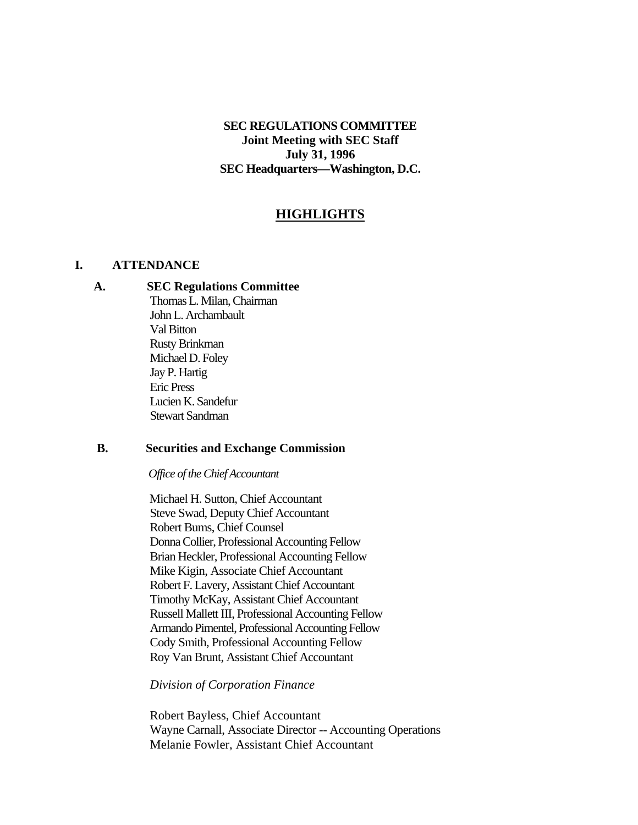# **SEC REGULATIONS COMMITTEE Joint Meeting with SEC Staff July 31, 1996 SEC Headquarters—Washington, D.C.**

# **HIGHLIGHTS**

#### **I. ATTENDANCE**

#### **A. SEC Regulations Committee**

Thomas L. Milan, Chairman John L. Archambault Val Bitton Rusty Brinkman Michael D. Foley Jay P. Hartig Eric Press Lucien K. Sandefur Stewart Sandman

#### **B. Securities and Exchange Commission**

*Office of the Chief Accountant*

 Michael H. Sutton, Chief Accountant Steve Swad, Deputy Chief Accountant Robert Bums, Chief Counsel Donna Collier, Professional Accounting Fellow Brian Heckler, Professional Accounting Fellow Mike Kigin, Associate Chief Accountant Robert F. Lavery, Assistant Chief Accountant Timothy McKay, Assistant Chief Accountant Russell Mallett III, Professional Accounting Fellow Armando Pimentel, Professional Accounting Fellow Cody Smith, Professional Accounting Fellow Roy Van Brunt, Assistant Chief Accountant

#### *Division of Corporation Finance*

Robert Bayless, Chief Accountant Wayne Carnall, Associate Director -- Accounting Operations Melanie Fowler, Assistant Chief Accountant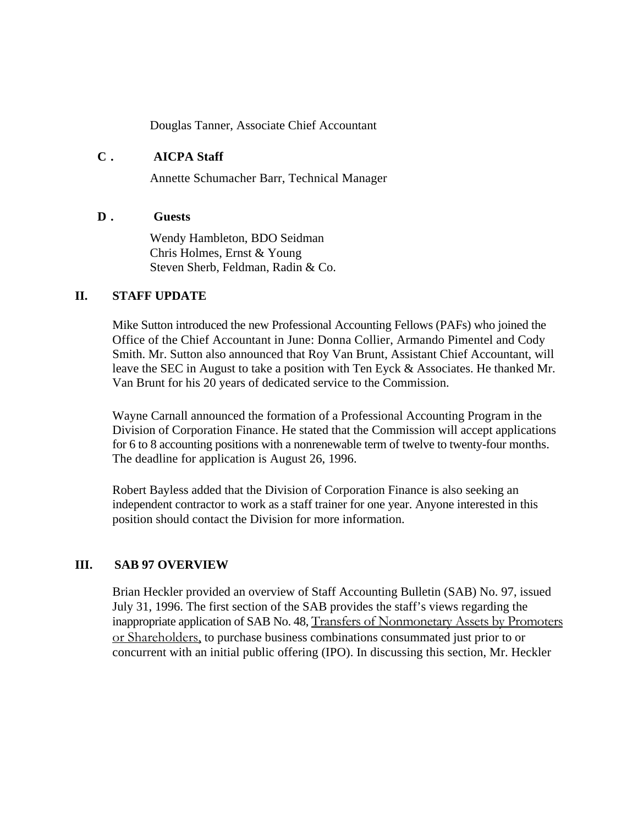Douglas Tanner, Associate Chief Accountant

### **C . AICPA Staff**

Annette Schumacher Barr, Technical Manager

### **D . Guests**

Wendy Hambleton, BDO Seidman Chris Holmes, Ernst & Young Steven Sherb, Feldman, Radin & Co.

### **II. STAFF UPDATE**

Mike Sutton introduced the new Professional Accounting Fellows (PAFs) who joined the Office of the Chief Accountant in June: Donna Collier, Armando Pimentel and Cody Smith. Mr. Sutton also announced that Roy Van Brunt, Assistant Chief Accountant, will leave the SEC in August to take a position with Ten Eyck & Associates. He thanked Mr. Van Brunt for his 20 years of dedicated service to the Commission.

Wayne Carnall announced the formation of a Professional Accounting Program in the Division of Corporation Finance. He stated that the Commission will accept applications for 6 to 8 accounting positions with a nonrenewable term of twelve to twenty-four months. The deadline for application is August 26, 1996.

Robert Bayless added that the Division of Corporation Finance is also seeking an independent contractor to work as a staff trainer for one year. Anyone interested in this position should contact the Division for more information.

### **III. SAB 97 OVERVIEW**

Brian Heckler provided an overview of Staff Accounting Bulletin (SAB) No. 97, issued July 31, 1996. The first section of the SAB provides the staff's views regarding the inappropriate application of SAB No. 48, Transfers of Nonmonetary Assets by Promoters or Shareholders, to purchase business combinations consummated just prior to or concurrent with an initial public offering (IPO). In discussing this section, Mr. Heckler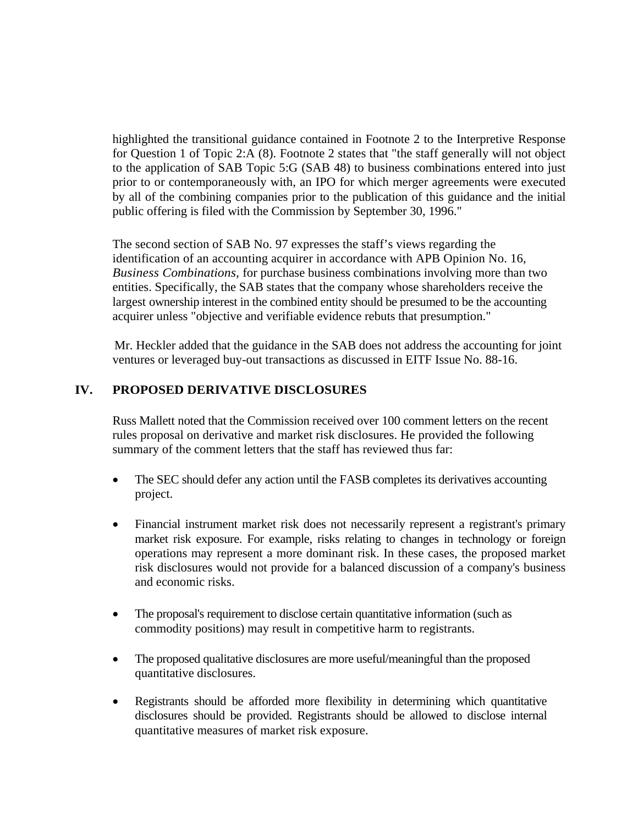highlighted the transitional guidance contained in Footnote 2 to the Interpretive Response for Question 1 of Topic 2:A (8). Footnote 2 states that "the staff generally will not object to the application of SAB Topic 5:G (SAB 48) to business combinations entered into just prior to or contemporaneously with, an IPO for which merger agreements were executed by all of the combining companies prior to the publication of this guidance and the initial public offering is filed with the Commission by September 30, 1996."

The second section of SAB No. 97 expresses the staff's views regarding the identification of an accounting acquirer in accordance with APB Opinion No. 16, *Business Combinations,* for purchase business combinations involving more than two entities. Specifically, the SAB states that the company whose shareholders receive the largest ownership interest in the combined entity should be presumed to be the accounting acquirer unless "objective and verifiable evidence rebuts that presumption."

Mr. Heckler added that the guidance in the SAB does not address the accounting for joint ventures or leveraged buy-out transactions as discussed in EITF Issue No. 88-16.

# **IV. PROPOSED DERIVATIVE DISCLOSURES**

Russ Mallett noted that the Commission received over 100 comment letters on the recent rules proposal on derivative and market risk disclosures. He provided the following summary of the comment letters that the staff has reviewed thus far:

- The SEC should defer any action until the FASB completes its derivatives accounting project.
- Financial instrument market risk does not necessarily represent a registrant's primary market risk exposure. For example, risks relating to changes in technology or foreign operations may represent a more dominant risk. In these cases, the proposed market risk disclosures would not provide for a balanced discussion of a company's business and economic risks.
- The proposal's requirement to disclose certain quantitative information (such as commodity positions) may result in competitive harm to registrants.
- The proposed qualitative disclosures are more useful/meaningful than the proposed quantitative disclosures.
- Registrants should be afforded more flexibility in determining which quantitative disclosures should be provided. Registrants should be allowed to disclose internal quantitative measures of market risk exposure.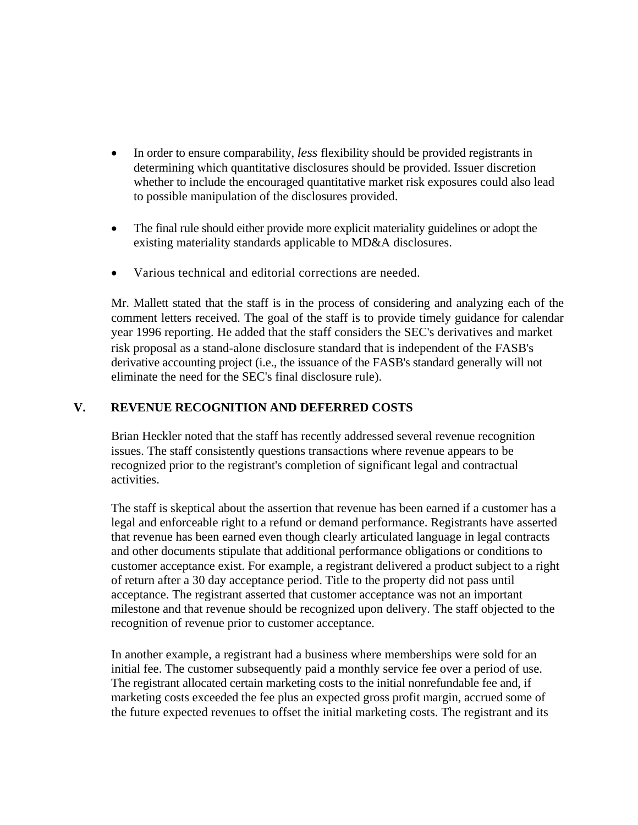- In order to ensure comparability, *less* flexibility should be provided registrants in determining which quantitative disclosures should be provided. Issuer discretion whether to include the encouraged quantitative market risk exposures could also lead to possible manipulation of the disclosures provided.
- The final rule should either provide more explicit materiality guidelines or adopt the existing materiality standards applicable to MD&A disclosures.
- Various technical and editorial corrections are needed.

Mr. Mallett stated that the staff is in the process of considering and analyzing each of the comment letters received. The goal of the staff is to provide timely guidance for calendar year 1996 reporting. He added that the staff considers the SEC's derivatives and market risk proposal as a stand-alone disclosure standard that is independent of the FASB's derivative accounting project (i.e., the issuance of the FASB's standard generally will not eliminate the need for the SEC's final disclosure rule).

# **V. REVENUE RECOGNITION AND DEFERRED COSTS**

Brian Heckler noted that the staff has recently addressed several revenue recognition issues. The staff consistently questions transactions where revenue appears to be recognized prior to the registrant's completion of significant legal and contractual activities.

The staff is skeptical about the assertion that revenue has been earned if a customer has a legal and enforceable right to a refund or demand performance. Registrants have asserted that revenue has been earned even though clearly articulated language in legal contracts and other documents stipulate that additional performance obligations or conditions to customer acceptance exist. For example, a registrant delivered a product subject to a right of return after a 30 day acceptance period. Title to the property did not pass until acceptance. The registrant asserted that customer acceptance was not an important milestone and that revenue should be recognized upon delivery. The staff objected to the recognition of revenue prior to customer acceptance.

In another example, a registrant had a business where memberships were sold for an initial fee. The customer subsequently paid a monthly service fee over a period of use. The registrant allocated certain marketing costs to the initial nonrefundable fee and, if marketing costs exceeded the fee plus an expected gross profit margin, accrued some of the future expected revenues to offset the initial marketing costs. The registrant and its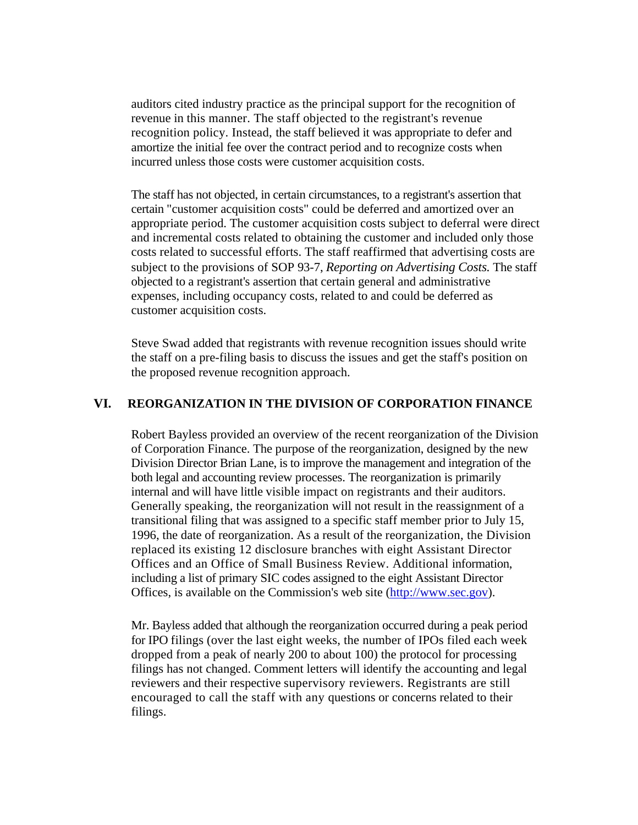auditors cited industry practice as the principal support for the recognition of revenue in this manner. The staff objected to the registrant's revenue recognition policy. Instead, the staff believed it was appropriate to defer and amortize the initial fee over the contract period and to recognize costs when incurred unless those costs were customer acquisition costs.

The staff has not objected, in certain circumstances, to a registrant's assertion that certain "customer acquisition costs" could be deferred and amortized over an appropriate period. The customer acquisition costs subject to deferral were direct and incremental costs related to obtaining the customer and included only those costs related to successful efforts. The staff reaffirmed that advertising costs are subject to the provisions of SOP 93-7, *Reporting on Advertising Costs.* The staff objected to a registrant's assertion that certain general and administrative expenses, including occupancy costs, related to and could be deferred as customer acquisition costs.

Steve Swad added that registrants with revenue recognition issues should write the staff on a pre-filing basis to discuss the issues and get the staff's position on the proposed revenue recognition approach.

# **VI. REORGANIZATION IN THE DIVISION OF CORPORATION FINANCE**

Robert Bayless provided an overview of the recent reorganization of the Division of Corporation Finance. The purpose of the reorganization, designed by the new Division Director Brian Lane, is to improve the management and integration of the both legal and accounting review processes. The reorganization is primarily internal and will have little visible impact on registrants and their auditors. Generally speaking, the reorganization will not result in the reassignment of a transitional filing that was assigned to a specific staff member prior to July 15, 1996, the date of reorganization. As a result of the reorganization, the Division replaced its existing 12 disclosure branches with eight Assistant Director Offices and an Office of Small Business Review. Additional information, including a list of primary SIC codes assigned to the eight Assistant Director Offices, is available on the Commission's web site [\(http://www.sec.gov](http://www.sec.gov/)).

Mr. Bayless added that although the reorganization occurred during a peak period for IPO filings (over the last eight weeks, the number of IPOs filed each week dropped from a peak of nearly 200 to about 100) the protocol for processing filings has not changed. Comment letters will identify the accounting and legal reviewers and their respective supervisory reviewers. Registrants are still encouraged to call the staff with any questions or concerns related to their filings.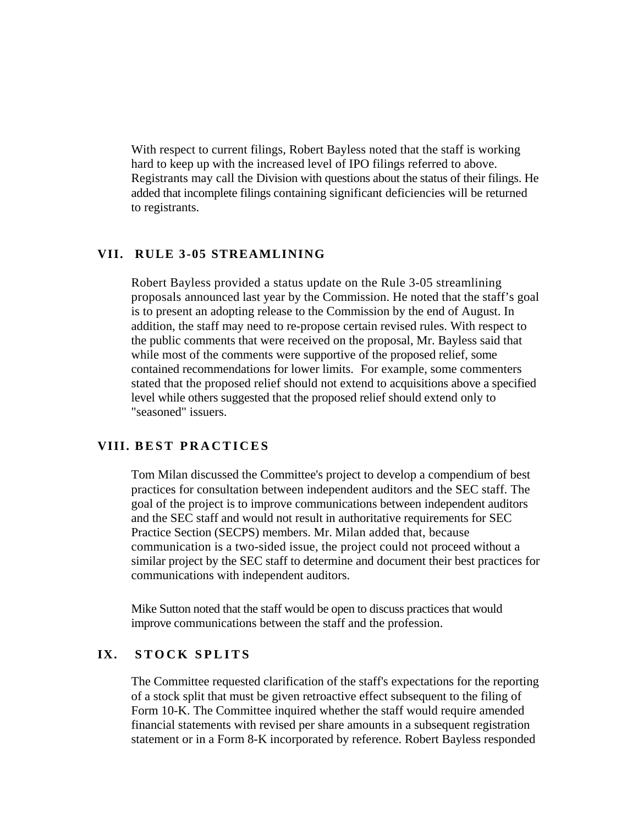With respect to current filings, Robert Bayless noted that the staff is working hard to keep up with the increased level of IPO filings referred to above. Registrants may call the Division with questions about the status of their filings. He added that incomplete filings containing significant deficiencies will be returned to registrants.

#### **VII. RULE 3-05 STREAMLINING**

Robert Bayless provided a status update on the Rule 3-05 streamlining proposals announced last year by the Commission. He noted that the staff's goal is to present an adopting release to the Commission by the end of August. In addition, the staff may need to re-propose certain revised rules. With respect to the public comments that were received on the proposal, Mr. Bayless said that while most of the comments were supportive of the proposed relief, some contained recommendations for lower limits. For example, some commenters stated that the proposed relief should not extend to acquisitions above a specified level while others suggested that the proposed relief should extend only to "seasoned" issuers.

#### **VIII. BEST PRACTICES**

Tom Milan discussed the Committee's project to develop a compendium of best practices for consultation between independent auditors and the SEC staff. The goal of the project is to improve communications between independent auditors and the SEC staff and would not result in authoritative requirements for SEC Practice Section (SECPS) members. Mr. Milan added that, because communication is a two-sided issue, the project could not proceed without a similar project by the SEC staff to determine and document their best practices for communications with independent auditors.

Mike Sutton noted that the staff would be open to discuss practices that would improve communications between the staff and the profession.

# **IX. STOCK SPLITS**

The Committee requested clarification of the staff's expectations for the reporting of a stock split that must be given retroactive effect subsequent to the filing of Form 10-K. The Committee inquired whether the staff would require amended financial statements with revised per share amounts in a subsequent registration statement or in a Form 8-K incorporated by reference. Robert Bayless responded